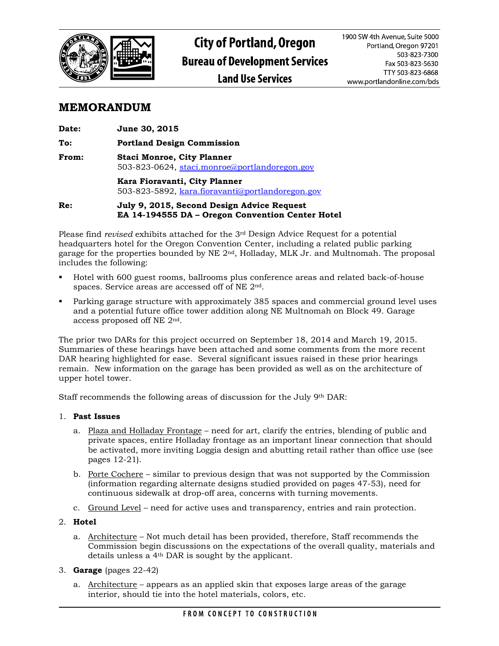

## **MEMORANDUM**

| <b>Date:</b> | June 30, 2015                                                                      |
|--------------|------------------------------------------------------------------------------------|
| To:          | <b>Portland Design Commission</b>                                                  |
| <b>From:</b> | <b>Staci Monroe, City Planner</b><br>503-823-0624, staci.monroe@portlandoregon.gov |
|              | Kara Fioravanti, City Planner<br>503-823-5892, kara.fioravanti@portlandoregon.gov  |
| Re:          | July 9, 2015, Second Design Advice Request                                         |

**EA 14-194555 DA – Oregon Convention Center Hotel**

Please find *revised* exhibits attached for the 3rd Design Advice Request for a potential headquarters hotel for the Oregon Convention Center, including a related public parking garage for the properties bounded by NE 2nd, Holladay, MLK Jr. and Multnomah. The proposal includes the following:

- Hotel with 600 guest rooms, ballrooms plus conference areas and related back-of-house spaces. Service areas are accessed off of NE 2nd.
- Parking garage structure with approximately 385 spaces and commercial ground level uses and a potential future office tower addition along NE Multnomah on Block 49. Garage access proposed off NE 2nd.

The prior two DARs for this project occurred on September 18, 2014 and March 19, 2015. Summaries of these hearings have been attached and some comments from the more recent DAR hearing highlighted for ease. Several significant issues raised in these prior hearings remain. New information on the garage has been provided as well as on the architecture of upper hotel tower.

Staff recommends the following areas of discussion for the July 9th DAR:

## 1. **Past Issues**

- a. Plaza and Holladay Frontage need for art, clarify the entries, blending of public and private spaces, entire Holladay frontage as an important linear connection that should be activated, more inviting Loggia design and abutting retail rather than office use (see pages 12-21).
- b. Porte Cochere similar to previous design that was not supported by the Commission (information regarding alternate designs studied provided on pages 47-53), need for continuous sidewalk at drop-off area, concerns with turning movements.
- c. Ground Level need for active uses and transparency, entries and rain protection.
- 2. **Hotel** 
	- a. Architecture Not much detail has been provided, therefore, Staff recommends the Commission begin discussions on the expectations of the overall quality, materials and details unless a 4th DAR is sought by the applicant.
- 3. **Garage** (pages 22-42)
	- a. Architecture appears as an applied skin that exposes large areas of the garage interior, should tie into the hotel materials, colors, etc.